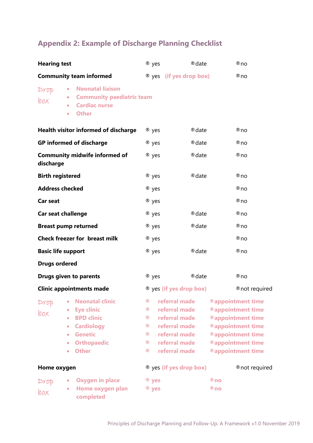## **Appendix 2: Example of Discharge Planning Checklist**

| <b>Hearing test</b>                               |                                                                                                                                                                                                             |                                                                                                                         | ® yes          | ® date                                                                                                              | ® <sub>no</sub>                                                                                                                                                                                               |
|---------------------------------------------------|-------------------------------------------------------------------------------------------------------------------------------------------------------------------------------------------------------------|-------------------------------------------------------------------------------------------------------------------------|----------------|---------------------------------------------------------------------------------------------------------------------|---------------------------------------------------------------------------------------------------------------------------------------------------------------------------------------------------------------|
| <b>Community team informed</b>                    |                                                                                                                                                                                                             |                                                                                                                         |                | ® yes (if yes drop box)                                                                                             | ® <sub>no</sub>                                                                                                                                                                                               |
| Drop<br>box                                       | <b>Neonatal liaison</b><br><b>Community paediatric team</b><br>$\bullet$<br><b>Cardiac nurse</b><br>$\bullet$<br><b>Other</b><br>$\bullet$                                                                  |                                                                                                                         |                |                                                                                                                     |                                                                                                                                                                                                               |
| <b>Health visitor informed of discharge</b>       |                                                                                                                                                                                                             |                                                                                                                         | ® yes          | ® date                                                                                                              | ®no                                                                                                                                                                                                           |
| <b>GP</b> informed of discharge                   |                                                                                                                                                                                                             |                                                                                                                         | ® yes          | ® date                                                                                                              | ® <sub>no</sub>                                                                                                                                                                                               |
| <b>Community midwife informed of</b><br>discharge |                                                                                                                                                                                                             |                                                                                                                         | ® yes          | ® date                                                                                                              | ® <sub>no</sub>                                                                                                                                                                                               |
| <b>Birth registered</b>                           |                                                                                                                                                                                                             |                                                                                                                         | ® yes          | ® date                                                                                                              | ®no                                                                                                                                                                                                           |
| <b>Address checked</b>                            |                                                                                                                                                                                                             |                                                                                                                         | ® yes          |                                                                                                                     | ® <sub>no</sub>                                                                                                                                                                                               |
| <b>Car seat</b>                                   |                                                                                                                                                                                                             |                                                                                                                         | ® yes          |                                                                                                                     | ® <sub>no</sub>                                                                                                                                                                                               |
| <b>Car seat challenge</b>                         |                                                                                                                                                                                                             |                                                                                                                         | ® yes          | ® date                                                                                                              | ® <sub>no</sub>                                                                                                                                                                                               |
| <b>Breast pump returned</b>                       |                                                                                                                                                                                                             |                                                                                                                         | ® yes          | ® date                                                                                                              | ® <sub>no</sub>                                                                                                                                                                                               |
| <b>Check freezer for breast milk</b>              |                                                                                                                                                                                                             |                                                                                                                         | ® yes          |                                                                                                                     | ®no                                                                                                                                                                                                           |
| <b>Basic life support</b>                         |                                                                                                                                                                                                             |                                                                                                                         | ® yes          | ® date                                                                                                              | ®no                                                                                                                                                                                                           |
| <b>Drugs ordered</b>                              |                                                                                                                                                                                                             |                                                                                                                         |                |                                                                                                                     |                                                                                                                                                                                                               |
| <b>Drugs given to parents</b>                     |                                                                                                                                                                                                             |                                                                                                                         | ® yes          | ® date                                                                                                              | ® no                                                                                                                                                                                                          |
| <b>Clinic appointments made</b>                   |                                                                                                                                                                                                             |                                                                                                                         |                | <sup>®</sup> yes (if yes drop box)                                                                                  | ® not required                                                                                                                                                                                                |
| Drop<br>box                                       | <b>Neonatal clinic</b><br><b>Eye clinic</b><br>$\bullet$<br><b>BPD clinic</b><br>$\bullet$<br><b>Cardiology</b><br>$\bullet$<br><b>Genetic</b><br>۰<br><b>Orthopaedic</b><br>$\bullet$<br><b>Other</b><br>۰ | $^{\circledR}$<br>$\circledR$<br>$^{\circledR}$<br>$^{\circledR}$<br>$^{\circledR}$<br>$^{\circledR}$<br>$^{\circledR}$ |                | referral made<br>referral made<br>referral made<br>referral made<br>referral made<br>referral made<br>referral made | <sup>®</sup> appointment time<br>® appointment time<br><sup>®</sup> appointment time<br><sup>®</sup> appointment time<br><sup>®</sup> appointment time<br><sup>®</sup> appointment time<br>® appointment time |
| Home oxygen                                       |                                                                                                                                                                                                             |                                                                                                                         |                | ® yes (if yes drop box)                                                                                             | ® not required                                                                                                                                                                                                |
| Drop<br>box                                       | <b>Oxygen in place</b><br>Home oxygen plan<br>completed                                                                                                                                                     |                                                                                                                         | ® yes<br>® yes |                                                                                                                     | ® <sub>no</sub><br>® <sub>no</sub>                                                                                                                                                                            |